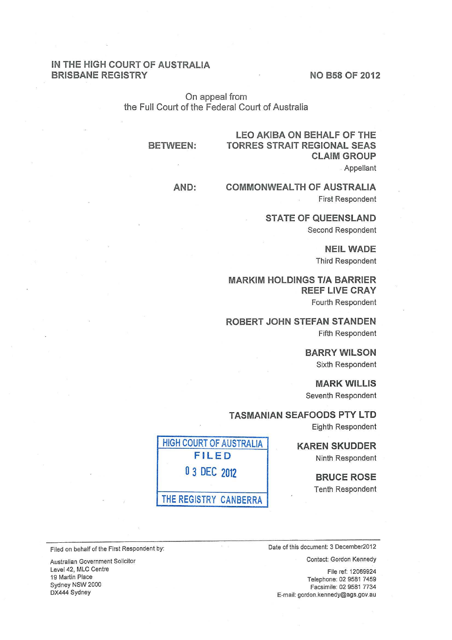## IN THE HIGH COURT OF AUSTRALIA BRISBANE REGISTRY NO B58 OF 2012

On appeal from the Full Court of the Federal Court of Australia

#### BETWEEN:

# LEO AKIBA ON BEHALF OF THE TORRES STRAIT REGIONAL SEAS CLAIM GROUP Appellant

AND: COMMONWEALTH OF AUSTRALIA First Respondent

> STATE OF QUEENSLAND Second Respondent

> > NEIL WADE Third Respondent

MARKIM HOLDINGS T/A BARRIER **REEF LIVE CRAY** Fourth Respondent

ROBERT JOHN STEFAN STANDEN Fifth Respondent

> BARRY WILSON Sixth Respondent

MARK WILLIS Seventh Respondent

TASMANIAN SEAFOODS PTY LTD

Eighth Respondent

KAREN SKUDDER Ninth Respondent

> BRUCE ROSE Tenth Respondent



Filed on behalf of the First Respondent by: Date of this document: 3 December2012

Contact: Gordon Kennedy

File ref: 12069924 Telephone: 02 9581 7459 Facsimile: 02 9581 7734 E-mail: gordon.kennedy@ags.gov.au

Australian Government Solicitor Level42, MLC Centre 19 Martin Place Sydney NSW 2000 DX444 Sydney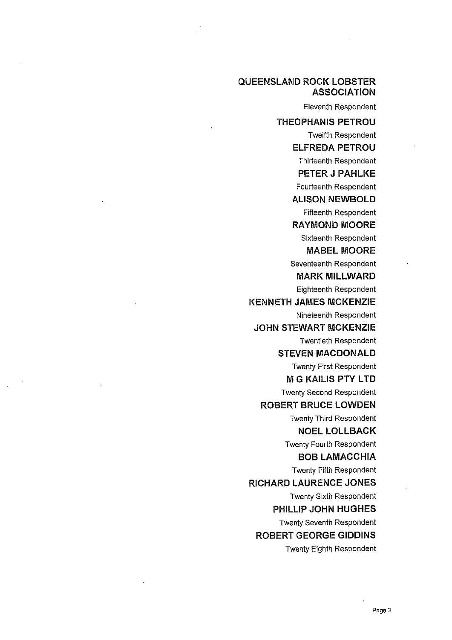# **QUEENSLAND ROCK LOBSTER ASSOCIATION**

Eleventh Respondent

**THEOPHANIS PETROU** 

Twelfth Respondent **ELFREDA PETROU** 

Thirteenth Respondent

**PETER J PAHLKE** 

Fourteenth Respondent

**ALISON NEWBOLD**  Fifteenth Respondent

**RAYMOND MOORE**  Sixteenth Respondent

**MABEL MOORE** 

Seventeenth Respondent

**MARK MILLWARD** 

Eighteenth Respondent

**KENNETH JAMES MCKENZIE** 

Nineteenth Respondent

**JOHN STEWART MCKENZIE**  Twentieth Respondent

**STEVEN MACDONALD** 

Twenty First Respondent

**M G KAlLIS PTY L TO** 

Twenty Second Respondent

**ROBERT BRUCE LOWDEN** 

Twenty Third Respondent **NOEL LOLLBACK** 

Twenty Fourth Respondent

**BOB LAMACCHIA** 

Twenty Fifth Respondent

**RICHARD LAURENCE JONES** 

Twenty Sixth Respondent

**PHILLIP JOHN HUGHES** 

Twenty Seventh Respondent **ROBERT GEORGE GIDDINS** 

Twenty Eighth Respondent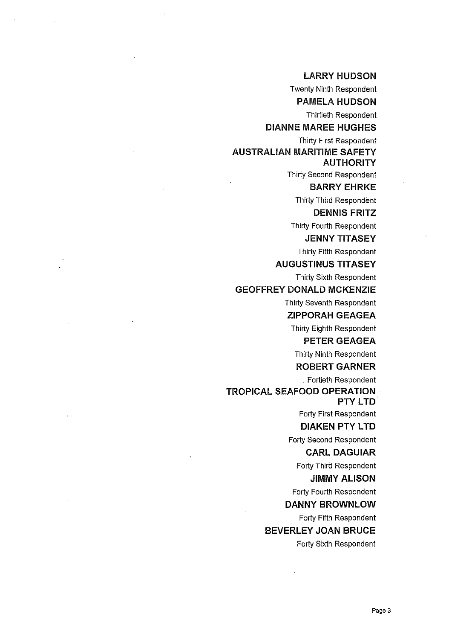## **LARRY HUDSON**

Twenty Ninth Respondent

**PAMELA HUDSON**  Thirtieth Respondent

**DIANNE MAREE HUGHES** 

Thirty First Respondent

**AUSTRALIAN MARITIME SAFETY AUTHORITY** 

Thirty Second Respondent

**BARRY EHRKE**  Thirty Third Respondent

#### **DENNIS FRITZ**

Thirty Fourth Respondent

# **JENNY TITASEY**

Thirty Fifth Respondent

**AUGUSTINUS TITASEY** 

Thirty Sixth Respondent

#### **GEOFFREY DONALD MCKENZIE**

Thirty Seventh Respondent

**ZIPPORAH GEAGEA** 

Thirty Eighth Respondent

# **PETER GEAGEA**

Thirty Ninth Respondent

# **ROBERT GARNER**

. Fortieth Respondent

## **TROPICAL SEAFOOD OPERATION** · **PTY LTD**

Forty First Respondent

## **DIAKEN PTY LTD**

Forty Second Respondent

# **CARL DAGUIAR**

Forty Third Respondent

# **JIMMY ALISON**

Forty Fourth Respondent

# **DANNY BROWNLOW**

Forty Fifth Respondent

# **BEVERLEY JOAN BRUCE**

Forty Sixth Respondent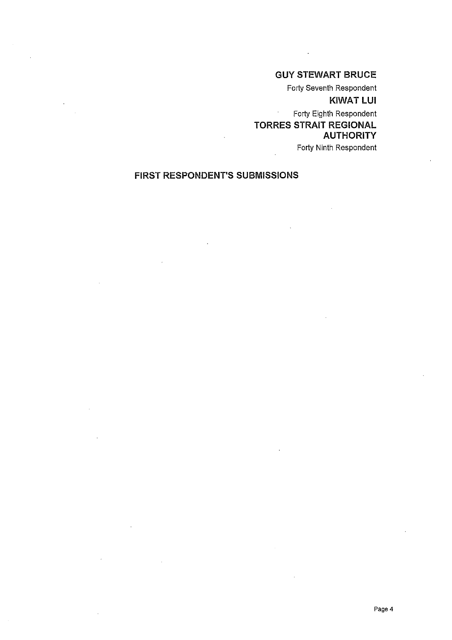# GUY STEWART BRUCE

Forty Seventh Respondent

KIWAT LUI

Forty Eighth Respondent  $\mathcal{A}^{\pm}$ TORRES STRAIT REGIONAL AUTHORITY

Forty Ninth Respondent

# FIRST RESPONDENT'S SUBMISSIONS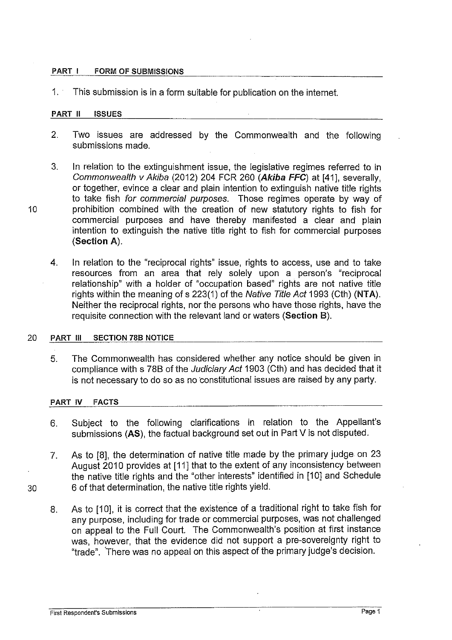#### PART I FORM OF SUBMISSIONS

1. This submission is in a form suitable for publication on the internet.

#### PART II ISSUES

- 2. Two issues are addressed by the Commonwealth and the following submissions made.
- 3. In relation to the extinguishment issue, the legislative regimes referred to in Commonwealth v Akiba (2012) 204 FCR 260 (Akiba FFC) at [41], severally, or together, evince a clear and plain intention to extinguish native title rights to take fish for commercial purposes. Those regimes operate by way of 10 **prohibition combined with the creation of new statutory rights to fish for** commercial purposes and have thereby manifested a clear and plain intention to extinguish the native title right to fish for commercial purposes (Section A).
	- 4. In relation to the "reciprocal rights" issue, rights to access, use and to take resources from an area that rely solely upon a person's "reciprocal relationship" with a holder of "occupation based" rights are not native title rights within the meaning of s 223(1) of the Native Title Act 1993 (Cth) (NTA). Neither the reciprocal rights, nor the persons who have those rights, have the requisite connection with the relevant land or waters (Section 8).

#### 20 PART Ill SECTION 78B NOTICE

5. The Commonwealth has considered whether any notice should be given in compliance with s 788 of the Judiciary Act 1903 (Cth) and has decided that it is not necessary to do so as no constitutional issues are raised by any party.

#### PART IV FACTS

- 6. Subject to the following clarifications in relation to the Appellant's submissions (AS), the factual background set out in Part V is not disputed.
- 7. As to [8], the determination of native title made by the primary judge on 23 August 2010 provides at [11] that to the extent of any inconsistency between the native title rights and the "other interests" identified in [1 0] and Schedule 30 6 of that determination, the native title rights yield.
	- 8. As to [10], it is correct that the existence of a traditional right to take fish for any purpose, including for trade or commercial purposes, was not challenged on appeal to the Full Court. The Commonwealth's position at first instance was, however, that the evidence did not support a pre-sovereignty right to "trade". 'There was no appeal on this aspect of the primary judge's decision.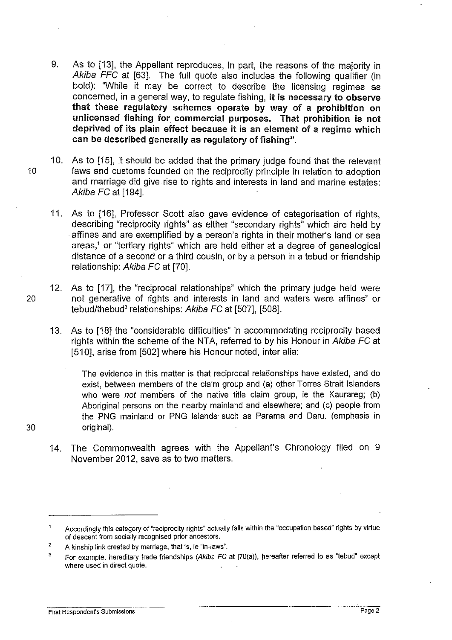- 9. As to [13], the Appellant reproduces, in part, the reasons of the majority in Akiba FFC at [63]. The full quote also includes the following qualifier (in bold): "While it may be correct to describe the licensing regimes as concerned, in a general way, to regulate fishing, it is necessary to observe that these regulatory schemes operate by way of a prohibition on unlicensed fishing for commercial purposes. That prohibition is not deprived of its plain effect because it is an element of a regime which can be described generally as regulatory of fishing".
- 10. As to [15], it should be added that the primary judge found that the relevant <sup>1</sup>o laws and customs founded on the reciprocity principle in relation to adoption and marriage did give rise to rights and interests in land and marine estates: Akiba FC at [194].
	- 11. As to [16], Professor Scott also gave evidence of categorisation of rights, describing "reciprocity rights" as either "secondary rights" which are held by affines and are exemplified by a person's rights in their mother's land or sea areas,' or "tertiary rights" which are held either at a degree of genealogical distance of a second or a third cousin, or by a person in a tebud or friendship relationship: Akiba FC at [70].
- 12. As to [17], the "reciprocal relationships" which the primary judge held were 20 not generative of rights and interests in land and waters were affines' or tebud/thebud<sup>3</sup> relationships: Akiba FC at [507], [508].
	- 13. As to [18] the "considerable difficulties" in accommodating reciprocity based rights within the scheme of the NTA, referred to by his Honour in Akiba FC at [510], arise from [502] where his Honour noted, inter alia:

The evidence in this matter is that reciprocal relationships have existed, and do exist, between members of the claim group and (a) other Torres Strait Islanders who were *not* members of the native title claim group, ie the Kaurareg; (b) Aboriginal persons on the nearby mainland and elsewhere; and (c) people from the PNG mainland or PNG islands such as Parama and Daru. (emphasis in original).

14. The Commonwealth agrees with the Appellant's Chronology filed on 9 November 2012, save as to two matters.

30

Accordingly this category of "reciprocity rights" actually falls within the "occupation based" rights by virtue  $\mathbf{1}$ of descent from socially recognised prior ancestors.

<sup>2</sup>  A kinship link created by marriage, that is, ie "in-laws".

<sup>3</sup>  For example, hereditary trade friendships (Akiba FC at [?O(a)), hereafter referred to as "tebud" except where used in direct quote.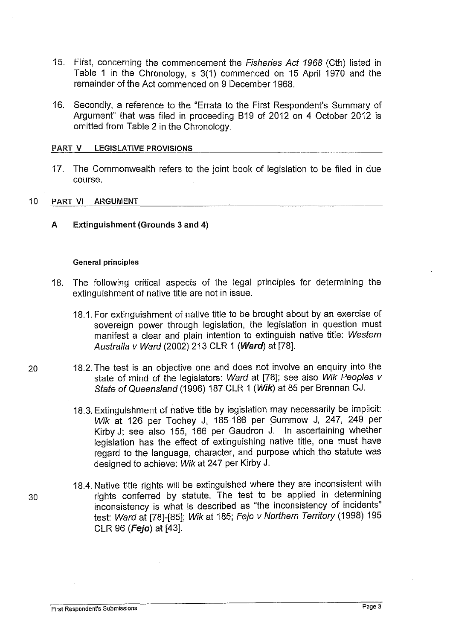- 15. First, concerning the commencement the Fisheries Act 1968 (Cth) listed in Table 1 in the Chronology, s 3(1) commenced on 15 April 1970 and the remainder of the Act commenced on 9 December 1968.
- 16. Secondly, a reference to the "Errata to the First Respondent's Summary of Argument" that was filed in proceeding 819 of 2012 on 4 October 2012 is omitted from Table 2 in the Chronology.

#### PART V LEGISLATIVE PROVISIONS

17. The Commonwealth refers to the joint book of legislation to be filed in due course.

#### 10 PART VI ARGUMENT

A Extinguishment (Grounds 3 and 4)

#### General principles

- 18. The following critical aspects of the legal principles for determining the extinguishment of native title are not in issue.
	- 18.1. For extinguishment of native title to be brought about by an exercise of sovereign power through legislation, the legislation in question must manifest a clear and plain intention to extinguish native title: Western Australia v Ward (2002) 213 CLR 1 (Ward) at [78].
- 20 18.2. The test is an objective one and does not involve an enquiry into the state of mind of the legislators: Ward at [78]; see also Wik Peoples *v*  State of Queensland (1996) 187 CLR 1 (Wik) at 85 per Brennan CJ.
	- 18.3. Extinguishment of native title by legislation may necessarily be implicit: Wik at 126 per Toohey J, 185-186 per Gummow J, 247, 249 per Kirby J; see also 155, 166 per Gaudron J. In ascertaining whether legislation has the effect of extinguishing native title, one must have regard to the language, character, and purpose which the statute was designed to achieve: Wik at 247 per Kirby J.
- 18.4. Native title rights will be extinguished where they are inconsistent with 30 rights conferred by statute. The test to be applied in determining inconsistency is what is described as "the inconsistency of incidents" test: Ward at [78]-[85]; Wik at 185; Fejo v Northern Territory (1998) 195 CLR 96 **(Fejo)** at [43].

## **First Respondent's Submissions** Page3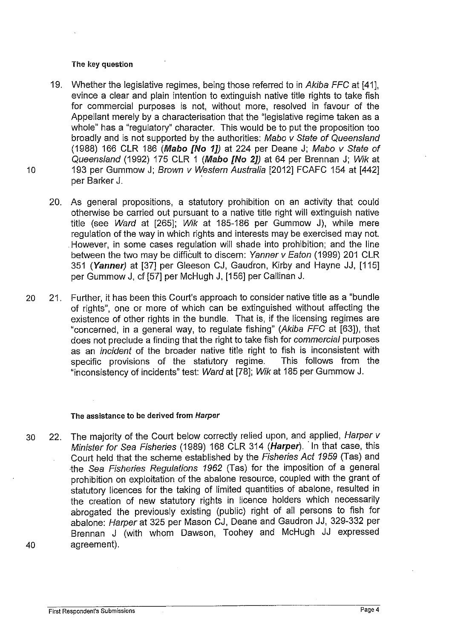#### The key question

- 19. Whether the legislative regimes, being those referred to in Akiba FFC at [41], evince a clear and plain intention to extinguish native title rights to take fish for commercial purposes is not, without more, resolved in favour of the Appellant merely by a characterisation that the "legislative regime taken as a whole" has a "regulatory" character. This would be to put the proposition too broadly and is not supported by the authorities: Mabo v State of Queensland (1988) 166 CLR 186 (Mabo  $fN$ o 1J) at 224 per Deane J; Mabo v State of Queensland (1992) 175 CLR 1 (Mabo [No 2]) at 64 per Brennan J; Wik at 10 193 per Gummow J; Brown v Western Australia [2012] FCAFC 154 at [442] per Barker J.
	- 20. As general propositions, a statutory prohibition on an activity that could otherwise be carried out pursuant to a native title right will extinguish native title (see Ward at [265]; Wik at 185-186 per Gummow J), while mere regulation of the way in which rights and interests may be exercised may not. . However, in some cases regulation will shade into prohibition; and the line between the two may be difficult to discern: Yanner v Eaton (1999) 201 CLR 351 (Yanner) at [37] per Gleeson CJ, Gaudron, Kirby and Hayne JJ, [115] per Gummow J, cf [57] per McHugh J, [156] per Callinan J.
- 20 21. Further, it has been this Court's approach to consider native title as a "bundle of rights", one or more of which can be extinguished without affecting the existence of other rights in the bundle. That is, if the licensing regimes are "concerned, in a general way, to regulate fishing" (Akiba FFC at [63]), that does not preclude a finding that the right to take fish for commercial purposes as an *incident* of the broader native title right to fish is inconsistent with<br>specific provisions of the statutory regime. This follows from the specific provisions of the statutory regime. "inconsistency of incidents" test: Ward at [78]; Wik at 185 per Gummow J.

#### The assistance to be derived from Harper

30 22. The majority of the Court below correctly relied upon, and applied, Harper v Minister for Sea Fisheries (1989) 168 CLR 314 **(Harper).** ·In that case, this Court held that the scheme established by the Fisheries Act 1959 (Tas) and the Sea Fisheries Regulations 1962 (Tas) for the imposition of a general prohibition on exploitation of the abalone resource, coupled with the grant of statutory licences for the taking of limited quantities of abalone, resulted in the creation of new statutory rights in licence holders which necessarily abrogated the previously existing (public) right of all persons to fish for abalone: Harper at 325 per Mason CJ, Deane and Gaudron JJ, 329-332 per Brennan J (with whom Dawson, Toohey and McHugh JJ expressed 40 agreement).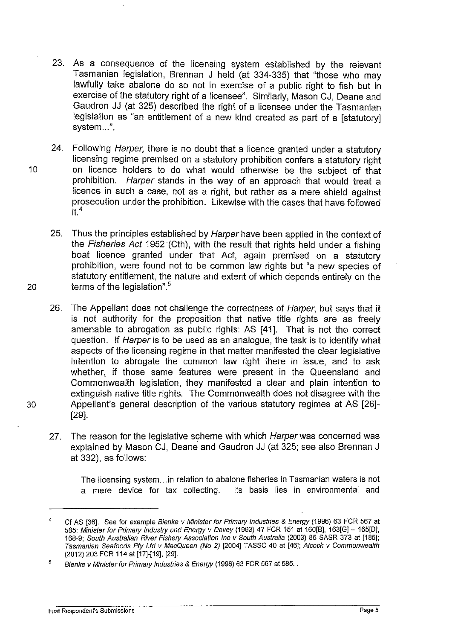- 23. As a consequence of the licensing system established by the relevant Tasmanian legislation, Brennan J held (at 334-335) that "those who may lawfully take abalone do so not in exercise of a public right to fish but in exercise of the statutory right of a licensee". Similarly, Mason CJ, Deane and Gaudron JJ (at 325) described the right of a licensee under the Tasmanian legislation as "an entitlement of a new kind created as part of a [statutory] system...".
- 24. Following Harper, there is no doubt that a licence granted under a statutory licensing regime premised on a statutory prohibition confers a statutory right 10 on licence holders to do what would otherwise be the subject of that prohibition. Harper stands in the way of an approach that would treat a licence in such a case, not as a right, but rather as a mere shield against prosecution under the prohibition. Likewise with the cases that have followed  $it<sup>4</sup>$
- 25. Thus the principles established by Harper have been applied in the context of the Fisheries Act 1952 (Cth), with the result that rights held under a fishing boat licence granted under that Act, again premised on a statutory prohibition, were found not to be common law rights but "a new species of statutory entitlement, the nature and extent of which depends entirely on the 20 terms of the legislation".<sup>5</sup>
- 26. The Appellant does not challenge the correctness of Harper, but says that it is not authority for the proposition that native title rights are as freely amenable to abrogation as public rights: AS [41]. That is not the correct question. If Harper is to be used as an analogue, the task is to identify what aspects of the licensing regime in that matter manifested the clear legislative intention to abrogate the common law right there in issue, and to ask whether, if those same features were present in the Queensland and Commonwealth legislation, they manifested a clear and plain intention to extinguish native title rights. The Commonwealth does not disagree with the 30 Appellant's general description of the various statutory regimes at AS [26]- [29].
	- 27. The reason for the legislative scheme with which Harper was concerned was explained by Mason CJ, Deane and Gaudron JJ (at 325; see also Brennan J at 332), as follows:

The licensing system ... in relation to abalone fisheries in Tasmanian waters is not a mere device for tax collecting. Its basis lies in environmental and

<sup>4</sup>  Cf AS [36]. See for example Bienke v Minister for Primary Industries & Energy (1996) 63 FCR 567 at 585: Minister for Primary Industry and Energy v Davey (1993) 47 FCR 151 at 160[8], 163[G]- 165[0], 168-9; South Australian River Fishery Association Inc v South Australia (2003) 85 SASR 373 at [185]; Tasmanian Seafoods Pfy Ltd v MacQueen (No 2) [2004] TASSC 40 at [46]; Alcock v Commonwealth (2012) 203 FCR 114 at [17]-[19], [29].

<sup>5</sup>  Bienke v Minister for Primary Industries & Energy (1996) 63 FCR 567 at 585. .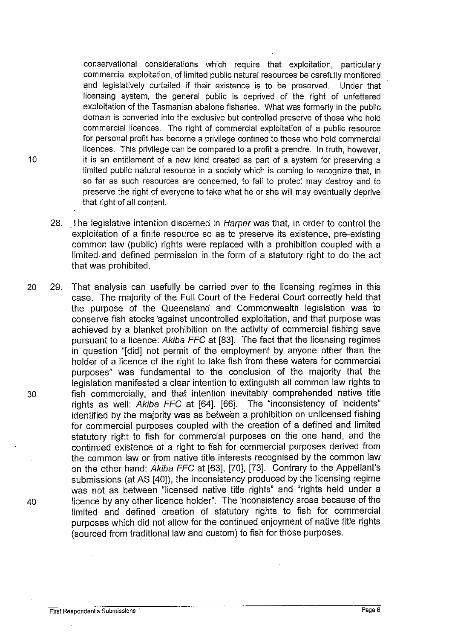conservational considerations which require that exploitation, particularly commercial exploitation, of limited public natural resources be carefully monitored and legislatively curtailed if their existence is to be preserved. Under that licensing system, the general public is deprived of the right of unfettered exploitation of the Tasmanian abalone fisheries. What was formerly in the public domain is converted into the exclusive but controlled preserve of those who hold commercial licences. The right of commercial exploitation of a public resource for personal profit has become a privilege confined to those who hold commercial licences. This privilege can be compared to a profit a prendre. In truth, however, 10 it is an entitlement of a new kind created as part of a system for preserving a limited public natural resource in a society which is coming to recognize that, in so far as such resources are concerned, to fail to protect may destroy and to preserve the right of everyone to take what he or she will may eventually deprive that right of all content.

- 28. The legislative intention discerned in Harper was that, in order to control the exploitation of a finite resource so as to preserve its existence, pre-existing common law (public) rights were replaced with a prohibition coupled with a limited and defined permission in the form of a statutory right to do the act that was prohibited.
- 20 29. That analysis can usefully be carried over to the licensing regimes in this case. The majority of the Full Court of the Federal Court correctly held that the purpose of the Queensland and Commonwealth legislation was to conserve fish stocks 'against uncontrolled exploitation, and that purpose was achieved by a blanket prohibition on the activity of commercial fishing save pursuant to a licence: Akiba FFC at [83]. The fact that the licensing regimes in question "[did] not permit of the employment by anyone other than the holder of a licence of the right to take fish from these waters for commercial purposes" was fundamental to the conclusion of the majority that the legislation manifested a clear intention to extinguish all common law rights to 30 fish commercially, and that intention inevitably comprehended native title rights as well: Akiba FFC at [64], [66]. The "inconsistency of incidents" identified by the majority was as between a prohibition on unlicensed fishing for commercial purposes coupled with the creation of a defined and limited statutory right to fish for commercial purposes on the one hand, and the continued existence of a right to fish for commercial purposes derived from the common law or from native title interests recognised by the common law on the other hand: Akiba FFC at [63], [70], [73]. Contrary to the Appellant's submissions (at AS [40]), the inconsistency produced by the licensing regime was not as between "licensed native title rights" and "rights held under a 40 licence by any other licence holder". The inconsistency arose because of the limited and defined creation of statutory rights to fish for commercial purposes which did not allow for the continued enjoyment of native title rights (sourced from traditional law and custom) to fish for those purposes.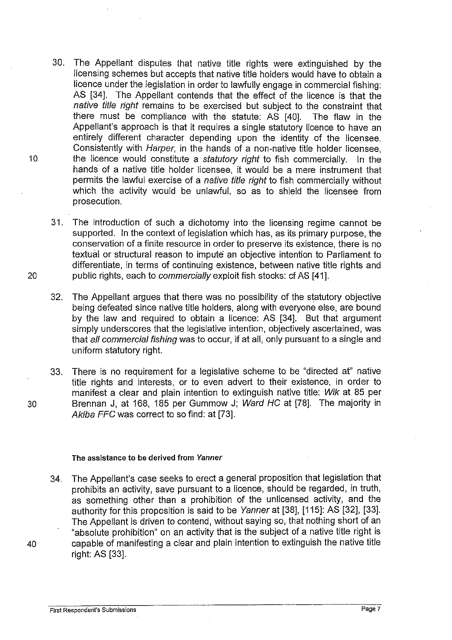- 30. The Appellant disputes that native title rights were extinguished by the licensing schemes but accepts that native title holders would have to obtain a licence under the legislation in order to lawfully engage in commercial fishing: AS [34]. The Appellant contends that the effect of the licence is that the native title right remains to be exercised but subject to the constraint that there must be compliance with the statute: AS [40]. The flaw in the Appellant's approach is that it requires a single statutory licence to have an entirely different character depending upon the identity of the licensee. Consistently with Harper, in the hands of a non-native title holder licensee, 10 the licence would constitute a statutory right to fish commercially. In the hands of a native title holder licensee, it would be a mere instrument that permits the lawful exercise of a native title right to fish commercially without which the activity would be unlawful, so as to shield the licensee from prosecution.
- 31. The introduction of such a dichotomy into the licensing regime cannot be supported. In the context of legislation which has, as its primary purpose, the conservation of a finite resource in order to preserve its existence, there is no textual or structural reason to impute an objective intention to Parliament to differentiate, in terms of continuing existence, between native title rights and 20 public rights, each to commercially exploit fish stocks: cf AS [41].
	- 32. The Appellant argues that there was no possibility of the statutory objective being defeated since native title holders, along with everyone else, are bound by the law and required to obtain a licence: AS [34]. But that argument simply underscores that the legislative intention, objectively ascertained, was that all commercial fishing was to occur, if at all, only pursuant to a single and uniform statutory right.
- 33. There is no requirement for a legislative scheme to be "directed at" native title rights and interests, or to even advert to their existence, in order to manifest a clear and plain intention to extinguish native title: Wik at 85 per 30 Brennan J, at 168, 185 per Gummow J; Ward HC at [78]. The majority in Akiba FFC was correct to so find: at [73].

#### The assistance to be derived **from** Yanner

34. The Appellant's case seeks to erect a general proposition that legislation that prohibits an activity, save pursuant to a licence, should be regarded, in truth, as something other than a prohibition of the unlicensed activity, and the authority for this proposition is said to be Yanner at [38], [115]: AS [32], [33]. The Appellant is driven to contend, without saying so, that nothing short of an "absolute prohibition" on an activity that is the subject of a native title right is 40 capable of manifesting a clear and plain intention to extinguish the native title right: AS [33].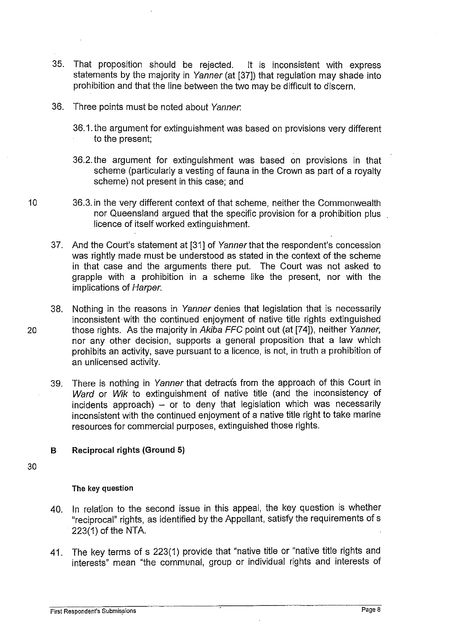- 35. That proposition should be rejected. It is inconsistent with express statements by the majority in Yanner (at [37]) that regulation may shade into prohibition and that the line between the two may be difficult to discern.
- 36. Three points must be noted about Yanner.
	- 36.1. the argument for extinguishment was based on provisions very different to the present;
	- 36.2. the argument for extinguishment was based on provisions in that scheme (particularly a vesting of fauna in the Crown as part of a royalty scheme) not present in this case; and
- 10 36.3. in the very different context of that scheme, neither the Commonwealth nor Queensland argued that the specific provision for a prohibition plus licence of itself worked extinguishment.
	- 37. And the Court's statement at [31] of Yanner that the respondent's concession was rightly made must be understood as stated in the context of the scheme in that case and the arguments there put. The Court was not asked to grapple with a prohibition in a scheme like the present, nor with the implications of Harper.
- 38. Nothing in the reasons in Yanner denies that legislation that is necessarily inconsistent with the continued enjoyment of native title rights extinguished 20 those rights. As the majority in Akiba FFC point out (at [74]), neither Yanner, nor any other decision, supports a general proposition that a law which prohibits an activity, save pursuant to a licence, is not, in truth a prohibition of an unlicensed activity.
	- 39. There is nothing in Yanner that detracts from the approach of this Court in Ward or Wik to extinguishment of native title (and the inconsistency of incidents approach) - or to deny that legislation which was necessarily inconsistent with the continued enjoyment of a native title right to take marine resources for commercial purposes, extinguished those rights.

## **B Reciprocal rights (Ground 5)**

30

## The key question

- 40. In relation to the second issue in this appeal, the key question is whether "reciprocal" rights, as identified by the Appellant, satisfy the requirements of s  $223(1)$  of the NTA.
- 41. The key terms of s 223(1) provide that "native title or "native title rights and interests" mean "the communal, group or individual rights and interests of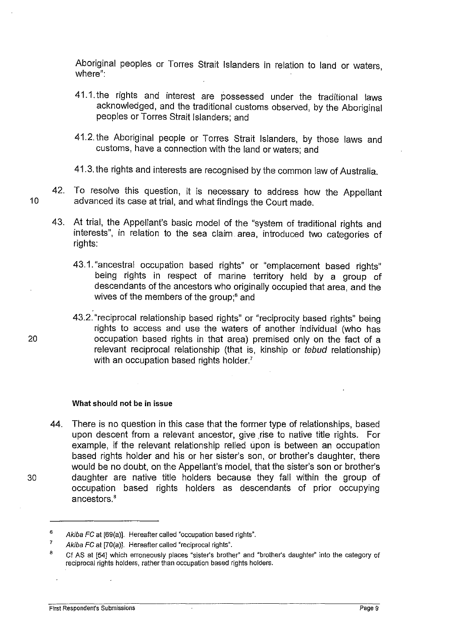Aboriginal peoples or Torres Strait Islanders in relation to land or waters, where":

- 41.1. the rights and interest are possessed under the traditional laws acknowledged, and the traditional customs observed, by the Aboriginal peoples or Torres Strait Islanders; and
- 41.2. the Aboriginal people or Torres Strait Islanders, by those laws and customs, have a connection with the land or waters; and
- 41.3. the rights and interests are recognised by the common law of Australia.
- 42. To resolve this question, it is necessary to address how the Appellant 10 advanced its case at trial, and what findings the Court made.
	- 43. At trial, the Appellant's basic model of the "system of traditional rights and interests", in relation to the sea claim area, introduced two categories of rights:
		- 43.1. "ancestral occupation based rights" or "emplacement based rights" being rights in respect of marine territory held by a group of descendants of the ancestors who originally occupied that area, and the wives of the members of the group;<sup>6</sup> and

43.2. "reciprocal relationship based rights" or "reciprocity based rights" being rights to access and use the waters of another individual (who has 20 occupation based rights in that area) premised only on the fact of a relevant reciprocal relationship (that is, kinship or tebud relationship) with an occupation based rights holder.<sup>7</sup>

#### What should not be in issue

44. There is no question in this case that the former type of relationships, based upon descent from a relevant ancestor, give rise to native title rights. For example, if the relevant relationship relied upon is between an occupation based rights holder and his or her sister's son, or brother's daughter, there would be no doubt, on the Appellant's model, that the sister's son or brother's 30 daughter are native title holders because they fall within the group of occupation based rights holders as descendants of prior occupying ancestors.'

<sup>6</sup>  Akiba FC at [69(a)]. Hereafter called "occupation based rights".

<sup>7</sup>  Akiba FC at [70(a)]. Hereafter called "reciprocal rights".

<sup>8</sup>  Cf AS at [54] which erroneously places "sister's brother" and "brother's daughter' into the category of reciprocal rights holders, rather than occupation based rights holders.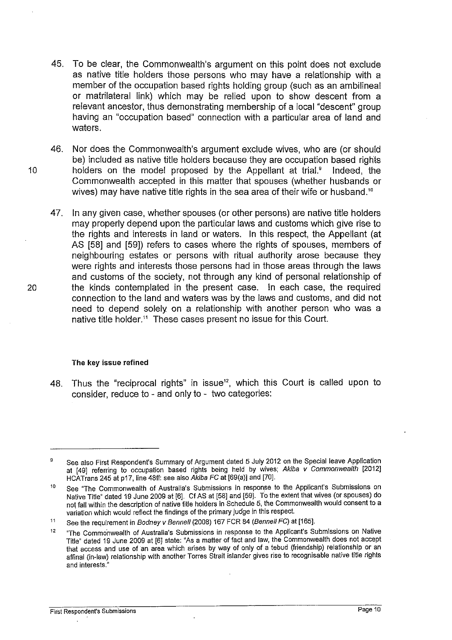- 45. To be clear, the Commonwealth's argument on this point does not exclude as native title holders those persons who may have a relationship with a member of the occupation based rights holding group (such as an ambilineal or matrilateral link) which may be relied upon to show descent from a relevant ancestor, thus demonstrating membership of a local "descent" group having an "occupation based" connection with a particular area of land and waters.
- 46. Nor does the Commonwealth's argument exclude wives, who are (or should be) included as native title holders because they are occupation based rights 10 holders on the model proposed by the Appellant at trial.' Indeed, the Commonwealth accepted in this matter that spouses (whether husbands or wives) may have native title rights in the sea area of their wife or husband.<sup>10</sup>
- 47. In any given case, whether spouses (or other persons) are native title holders may properly depend upon the particular laws and customs which give rise to the rights and interests in land or waters. In this respect, the Appellant (at AS [58] and [59]) refers to cases where the rights of spouses, members of neighbouring estates or persons with ritual authority arose because they were rights and interests those persons had in those areas through the laws and customs of the society, not through any kind of personal relationship of 20 the kinds contemplated in the present case. In each case, the required connection to the land and waters was by the laws and customs, and did not need to depend solely on a relationship with another person who was a native title holder." These cases present no issue for this Court.

#### The key issue refined

48. Thus the "reciprocal rights" in issue $12$ , which this Court is called upon to consider, reduce to- and only to- two categories:

<sup>9</sup>  See also First Respondent's Summary of Argument dated 5 July 2012 on the Special leave Application at [49] referring to occupation based rights being held by wives; Akiba v Commonwealth [2012] HCATrans 245 at p17, line 48ff: see also Akiba FC at [69(a)] and [70].

<sup>10</sup>  See "The Commonwealth of Australia's Submissions in response to the Applicant's Submissions on Native Title" dated 19 June 2009 at [6]. Cf AS at [58] and [59]. To the extent that wives (or spouses) do not fall within the description of native title holders in Schedule 5, the Commonwealth would consent to a variation which would reflect the findings of the primary judge in this respect.

<sup>11</sup>  See the requirement in Bodney v Bennell (2008) 167 FCR 84 (Bennell FC) at [165].

<sup>12</sup>  "The Commonwealth of Australia's Submissions in response to the Applicant's Submissions on Native Title" dated 19 June 2009 at [6] state: "As a matter of fact and law, the Commonwealth does not accept that access and use of an area which arises by way of only of a tebud (friendship) relationship or an affinal (in-law) relationship with another Torres Strait islander gives rise to recognisable native title rights and interests."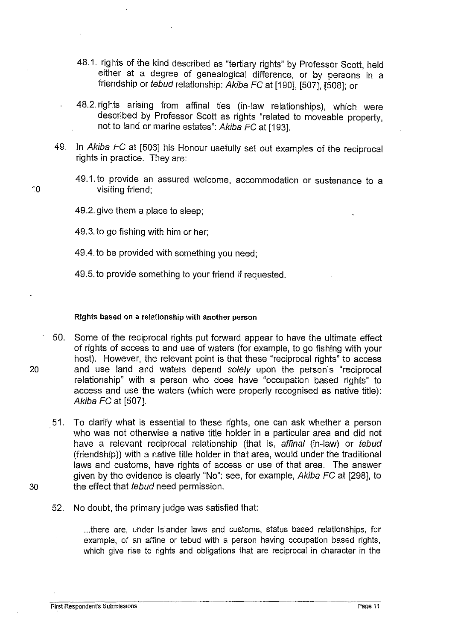- 48.1. rights of the kind described as "tertiary rights" by Professor Scott, held either at a degree of genealogical difference, or by persons in a friendship or tebud relationship: Akiba FC at [190], [507], [508]; or
- 48.2. rights arising from affinal ties (in-law relationships), which were described by Professor Scott as rights "related to moveable property, not to land or marine estates": Akiba FC at [193].
- 49. In Akiba FC at [506] his Honour usefully set out examples of the reciprocal rights in practice. They are:
- 49.1. to provide an assured welcome, accommodation or sustenance to a 10 visiting friend;
	- 49.2. give them a place to sleep;
	- 49.3. to go fishing with him or her;
	- 49.4. to be provided with something you need;
	- 49.5. to provide something to your friend if requested.

#### Rights based on a relationship with another person

- 50. Some of the reciprocal rights put forward appear to have the ultimate effect of rights of access to and use of waters (for example, to go fishing with your host). However, the relevant point is that these "reciprocal rights" to access 20 and use land and waters depend solely upon the person's "reciprocal relationship" with a person who does have "occupation based rights" to access and use the waters (which were properly recognised as native title): Akiba FC at [507].
- 51. To clarify what is essential to these rights, one can ask whether a person who was not otherwise a native title holder in a particular area and did not have a relevant reciprocal relationship (that is, affinal (in-law) or tebud (friendship)) with a native title holder in that area, would under the traditional laws and customs, have rights of access or use of that area. The answer given by the evidence is clearly "No": see, for example, Akiba FC at [298], to 30 the effect that *tebud* need permission.
- 
- 52. No doubt, the primary judge was satisfied that:

... there are, under Islander laws and customs, status based relationships, for example, of an affine or tebud with a person having occupation based rights, which give rise to rights and obligations that are reciprocal in character in the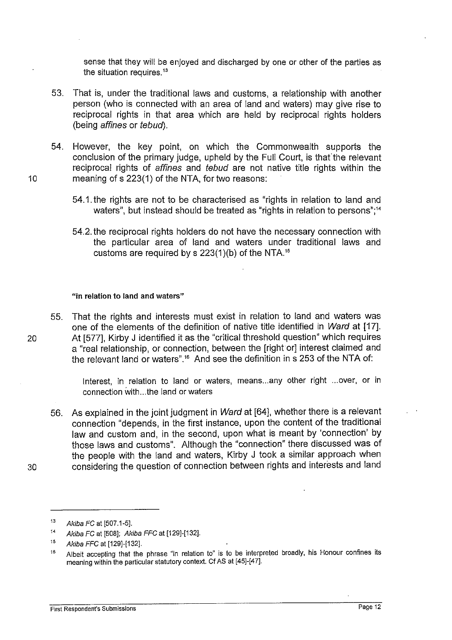sense that they will be enjoyed and discharged by one or other of the parties as the situation requires.<sup>13</sup>

- 53. That is, under the traditional laws and customs, a relationship with another person (who is connected with an area of land and waters) may give rise to reciprocal rights in that area which are held by reciprocal rights holders (being affines or tebud).
- 54. However, the key point, on which the Commonwealth supports the conclusion of the primary judge, upheld by the Full Court, is that the relevant reciprocal rights of affines and tebud are not native title rights within the 10 meaning of s 223(1) of the NTA, for two reasons:
	- 54.1. the rights are not to be characterised as "rights in relation to land and waters", but instead should be treated as "rights in relation to persons";<sup>14</sup>
	- 54.2. the reciprocal rights holders do not have the necessary connection with the particular area of land and waters under traditional laws and customs are required by s 223(1)(b) of the NTA. <sup>15</sup>

#### "in relation to land and waters"

55. That the rights and interests must exist in relation to land and waters was one of the elements of the definition of native title identified in Ward at [17]. 20 At [577], Kirby J identified it as the "critical threshold question" which requires a "real relationship, or connection, between the [right or] interest claimed and the relevant land or waters".<sup>16</sup> And see the definition in  $s$  253 of the NTA of:

> Interest, in relation to land or waters, means... any other right ... over, or in connection with ... the land or waters

56. As explained in the joint judgment in Ward at [64], whether there is a relevant connection "depends, in the first instance, upon the content of the traditional law and custom and, in the second, upon what is meant by 'connection' by those laws and customs". Although the "connection" there discussed was of the people with the land and waters, Kirby J took a similar approach when 30 considering the question of connection between rights and interests and land

<sup>13</sup> Akiba FC at [507.1-5].

<sup>14</sup>  Akiba FC at [508]; Akiba FFC at [129]-[132].

<sup>15</sup>  Akiba FFC at [129]-[132].

<sup>16</sup>  Albeit accepting that the phrase "in relation to" is to be interpreted broadly, his Honour confines its meaning within the particular statutory context. Cf AS at [45]-[47].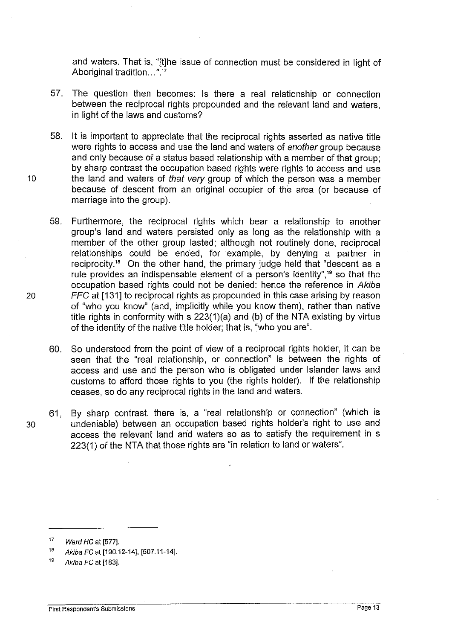and waters. That is, "[t]he issue of connection must be considered in light of Aboriginal tradition...".<sup>17</sup>

- 57. The question then becomes: Is there a real relationship or connection between the reciprocal rights propounded and the relevant land and waters, in light of the laws and customs?
- 58. It is important to appreciate that the reciprocal rights asserted as native title were rights to access and use the land and waters of another group because and only because of a status based relationship with a member of that group: by sharp contrast the occupation based rights were rights to access and use 10 the land and waters of that very group of which the person was a member because of descent from an original occupier of the area (or because of marriage into the group).
- 59. Furthermore, the reciprocal rights which bear a relationship to another group's land and waters persisted only as long as the relationship with a member of the other group lasted; although not routinely done, reciprocal relationships could be ended, for example, by denying a partner in reciprocity.<sup>18</sup> On the other hand, the primary judge held that "descent as a rule provides an indispensable element of a person's identity", $19$  so that the occupation based rights could not be denied: hence the reference in Akiba 20 FFC at [131] to reciprocal rights as propounded in this case arising by reason of "who you know" (and, implicitly while you know them), rather than native title rights in conformity with s 223(1)(a) and (b) of the NTA existing by virtue of the identity of the native title holder; that is, "who you are".
	- 60. So understood from the point of view of a reciprocal rights holder, it can be seen that the "real relationship, or connection" is between the rights of access and use and the person who is obligated under Islander laws and customs to afford those rights to you (the rights holder). If the relationship ceases, so do any reciprocal rights in the land and waters.

61, By sharp contrast, there is, a "real relationship or connection" (which is 30 undeniable) between an occupation based rights holder's right to use and access the relevant land and waters so as to satisfy the requirement in s 223(1) of the NTA that those rights are "in relation to land or waters".

**First Respondent's Submissions** Page 13

<sup>17</sup>  Ward HC at [577].

<sup>18</sup>  Akiba FC at [190.12-14], [507.11-14].

<sup>19</sup>  Akiba FC at [183].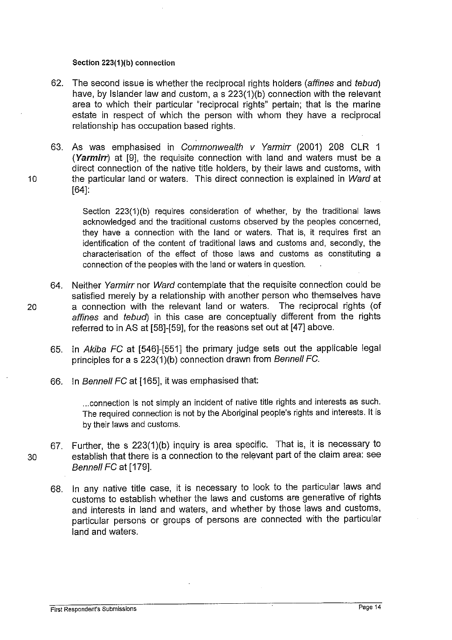#### Section 223(1)(b) connection

- 62. The second issue is whether the reciprocal rights holders (affines and tebud) have, by Islander law and custom,  $a \le 223(1)(b)$  connection with the relevant area to which their particular "reciprocal rights" pertain; that is the marine estate in respect of which the person with whom they have a reciprocal relationship has occupation based rights.
- 63. As was emphasised in Commonwealth v Yarmirr (2001) 208 CLR 1 (Yarmirr) at [9], the requisite connection with land and waters must be a direct connection of the native title holders, by their laws and customs, with 10 the particular land or waters. This direct connection is explained in Ward at [64]:

Section 223(1)(b) requires consideration of whether, by the traditional laws acknowledged and the traditional customs observed by the peoples concerned, they have a connection with the land or waters. That is, it requires first an identification of the content of traditional laws and customs and, secondly, the characterisation of the effect of those laws and customs as constituting a connection of the peoples with the land or waters in question.

- 64. Neither Yarmirr nor Ward contemplate that the requisite connection could be satisfied merely by a relationship with another person who themselves have 20 a connection with the relevant land or waters. The reciprocal rights (of affines and tebud) in this case are conceptually different from the rights referred to in AS at [58]-[59], for the reasons set out at [47] above.
	- 65. In Akiba FC at [546]-[551] the primary judge sets out the applicable legal principles for a s 223(1)(b) connection drawn from Bennell FC.
	- 66. In Bennell FC at [165], it was emphasised that:

... connection is not simply an incident of native title rights and interests as such. The required connection is not by the Aboriginal people's rights and interests. It is by their laws and customs.

- 67. Further, the s 223(1)(b) inquiry is area specific. That is, it is necessary to 30 establish that there is a connection to the relevant part of the claim area: see Bennell FC at [179].
	- 68. In any native title case, it is necessary to look to the particular laws and customs to establish whether the laws and customs are generative of rights and interests in land and waters, and whether by those laws and customs, particular persons or groups of persons are connected with the particular land and waters.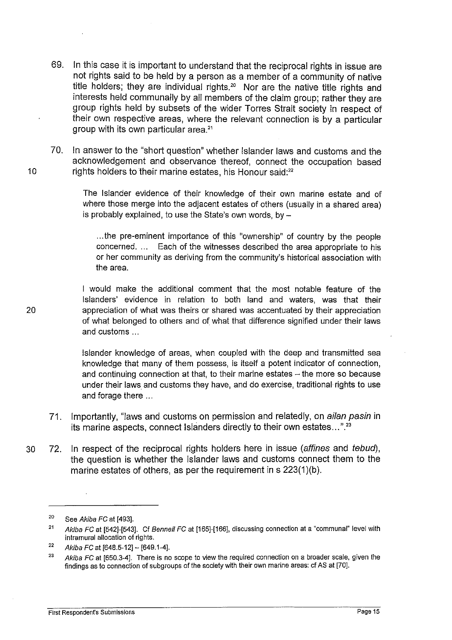- 69. In this case it is important to understand that the reciprocal rights in issue are not rights said to be held by a person as a member of a community of native title holders; they are individual rights.<sup>20</sup> Nor are the native title rights and interests held communally by all members of the claim group; rather they are group rights held by subsets of the wider Torres Strait society in respect of their own respective areas, where the relevant connection is by a particular group with its own particular area.<sup>21</sup>
- 70. In answer to the "short question" whether Islander laws and customs and the acknowledgement and observance thereof, connect the occupation based 10 rights holders to their marine estates, his Honour said:<sup>22</sup>

The Islander evidence of their knowledge of their own marine estate and of where those merge into the adjacent estates of others (usually in a shared area) is probably explained, to use the State's own words, by  $-$ 

... the pre-eminent importance of this "ownership" of country by the people concerned. ... Each of the witnesses described the area appropriate to his or her community as deriving from the community's historical association with the area.

would make the additional comment that the most notable feature of the Islanders' evidence in relation to both land and waters, was that their appreciation of what was theirs or shared was accentuated by their appreciation of what belonged to others and of what that difference signified under their laws and customs ...

Islander knowledge of areas, when coupled with the deep and transmitted sea knowledge that many of them possess, is itself a potent indicator of connection, and continuing connection at that, to their marine estates  $-$  the more so because under their laws and customs they have, and do exercise, traditional rights to use and forage there ...

- 71. Importantly, "laws and customs on permission and relatedly, on ailan pasin in its marine aspects, connect Islanders directly to their own estates...".<sup>23</sup>
- 30 72. In respect of the reciprocal rights holders here in issue (affines and tebud), the question is whether the Islander laws and customs connect them to the marine estates of others, as per the requirement in s 223(1 )(b).

20

<sup>20</sup>  See Akiba FC at [493].

<sup>21</sup>  Akiba FC at [542]-[543]. Cf Bennell FC at [165]-[166], discussing connection at a "communal" level with intramural allocation of rights.

<sup>22</sup>  Akiba FC at [648.5-12]- [649.1-4].

<sup>23</sup>  Akiba FC at [650.3-4]. There is no scope to view the required connection on a broader scale, given the findings as to connection of subgroups of the society with their own marine areas: cf AS at [70].